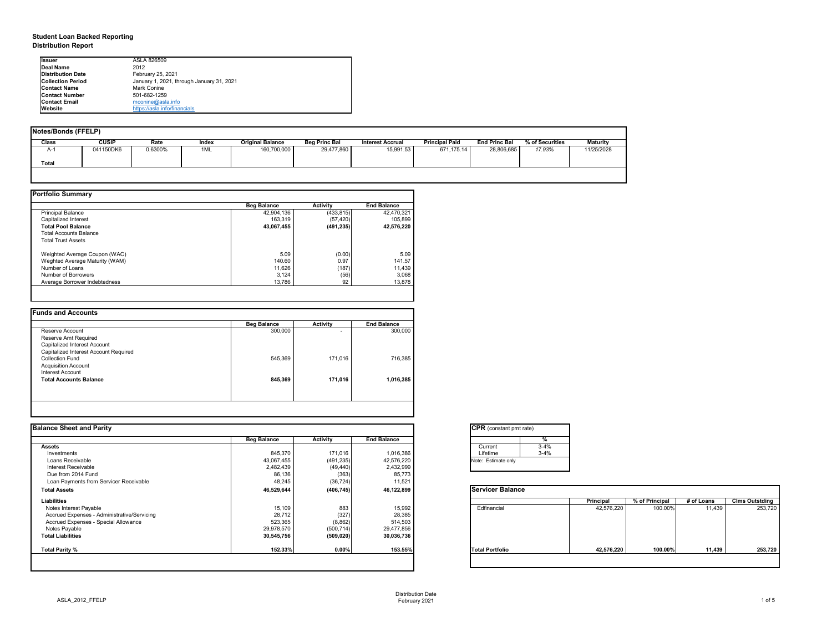## **Student Loan Backed Reporting Distribution Report**

| Notes/Bonds (FFELP) |              |         |       |                         |                      |                         |                       |                      |                 |                 |
|---------------------|--------------|---------|-------|-------------------------|----------------------|-------------------------|-----------------------|----------------------|-----------------|-----------------|
| <b>Class</b>        | <b>CUSIP</b> | Rate    | Index | <b>Original Balance</b> | <b>Beg Princ Bal</b> | <b>Interest Accrual</b> | <b>Principal Paid</b> | <b>End Princ Bal</b> | % of Securities | <b>Maturity</b> |
| A-1                 | 041150DK6    | 0.6300% | 1ML   | 160,700,000             | 29,477,860           | 15,991.53               | 671,175.14            | 28,806,685           | 17.93%          | 11/25/2028      |
| Total               |              |         |       |                         |                      |                         |                       |                      |                 |                 |
|                     |              |         |       |                         |                      |                         |                       |                      |                 |                 |

|                                | <b>Beg Balance</b> | <b>Activity</b> | <b>End Balance</b> |
|--------------------------------|--------------------|-----------------|--------------------|
| <b>Principal Balance</b>       | 42,904,136         | (433, 815)      | 42,470,321         |
| Capitalized Interest           | 163,319            | (57, 420)       | 105,899            |
| <b>Total Pool Balance</b>      | 43,067,455         | (491, 235)      | 42,576,220         |
| <b>Total Accounts Balance</b>  |                    |                 |                    |
| <b>Total Trust Assets</b>      |                    |                 |                    |
| Weighted Average Coupon (WAC)  | 5.09               | (0.00)          | 5.09               |
| Weghted Average Maturity (WAM) | 140.60             | 0.97            | 141.57             |
| Number of Loans                | 11,626             | (187)           | 11,439             |
| Number of Borrowers            | 3,124              | (56)            | 3,068              |
| Average Borrower Indebtedness  | 13,786             | 92              | 13,878             |

|                                       | <b>Beg Balance</b> | <b>Activity</b>          | <b>End Balance</b> |
|---------------------------------------|--------------------|--------------------------|--------------------|
| Reserve Account                       | 300,000            | $\overline{\phantom{0}}$ | 300,000            |
| Reserve Amt Required                  |                    |                          |                    |
| Capitalized Interest Account          |                    |                          |                    |
| Capitalized Interest Account Required |                    |                          |                    |
| <b>Collection Fund</b>                | 545,369            | 171,016                  | 716,385            |
| <b>Acquisition Account</b>            |                    |                          |                    |
| Interest Account                      |                    |                          |                    |
| <b>Total Accounts Balance</b>         | 845,369            | 171,016                  | 1,016,385          |
|                                       |                    |                          |                    |

| <b>I</b> lssuer          | ASLA 826509                               |
|--------------------------|-------------------------------------------|
| Deal Name                | 2012                                      |
| <b>Distribution Date</b> | February 25, 2021                         |
| <b>Collection Period</b> | January 1, 2021, through January 31, 2021 |
| <b>IContact Name</b>     | Mark Conine                               |
| <b>Contact Number</b>    | 501-682-1259                              |
| <b>Contact Email</b>     | mconine@asla.info                         |
| <b>IWebsite</b>          | https://asla.info/financials              |

|                    |                  |                            | <b>CPR</b> (constant pmt rate) |                  |                |            |                       |
|--------------------|------------------|----------------------------|--------------------------------|------------------|----------------|------------|-----------------------|
| <b>Beg Balance</b> | <b>Activity</b>  | <b>End Balance</b>         |                                |                  |                |            |                       |
|                    |                  |                            | $3 - 4%$<br>Current            |                  |                |            |                       |
| 845,370            | 171,016          | 1,016,386                  | Lifetime<br>$3 - 4%$           |                  |                |            |                       |
| 43,067,455         | (491, 235)       | 42,576,220                 | Note: Estimate only            |                  |                |            |                       |
| 2,482,439          | (49, 440)        | 2,432,999                  |                                |                  |                |            |                       |
|                    |                  | 85,773                     |                                |                  |                |            |                       |
| 48,245             | (36, 724)        | 11,521                     |                                |                  |                |            |                       |
| 46,529,644         | (406, 745)       | 46,122,899                 | <b>Servicer Balance</b>        |                  |                |            |                       |
|                    |                  |                            |                                | <b>Principal</b> | % of Principal | # of Loans | <b>Clms Outstding</b> |
|                    | 883              | 15,992                     | Edfinancial                    | 42,576,220       | 100.00%        | 11,439     | 253,720               |
| 28,712             |                  | 28,385                     |                                |                  |                |            |                       |
| 523,365            |                  | 514,503                    |                                |                  |                |            |                       |
| 29,978,570         | (500, 714)       | 29,477,856                 |                                |                  |                |            |                       |
| 30,545,756         | (509, 020)       | 30,036,736                 |                                |                  |                |            |                       |
| 152.33%            | 0.00%            | 153.55%                    | <b>Total Portfolio</b>         | 42,576,220       | 100.00%        | 11,439     | 253,720               |
|                    | 86,136<br>15,109 | (363)<br>(327)<br>(8, 862) |                                |                  |                |            |                       |

| tant pmt rate) |          |
|----------------|----------|
|                | $\%$     |
|                | $3 - 4%$ |
|                | $3-4%$   |
| te only        |          |
|                |          |

|      | Principal  | % of Principal | # of Loans | <b>Clms Outstding</b> |
|------|------------|----------------|------------|-----------------------|
| al   | 42,576,220 | 100.00%        | 11,439     | 253,720               |
| olio | 42,576,220 | 100.00%        | 11,439     | 253,720               |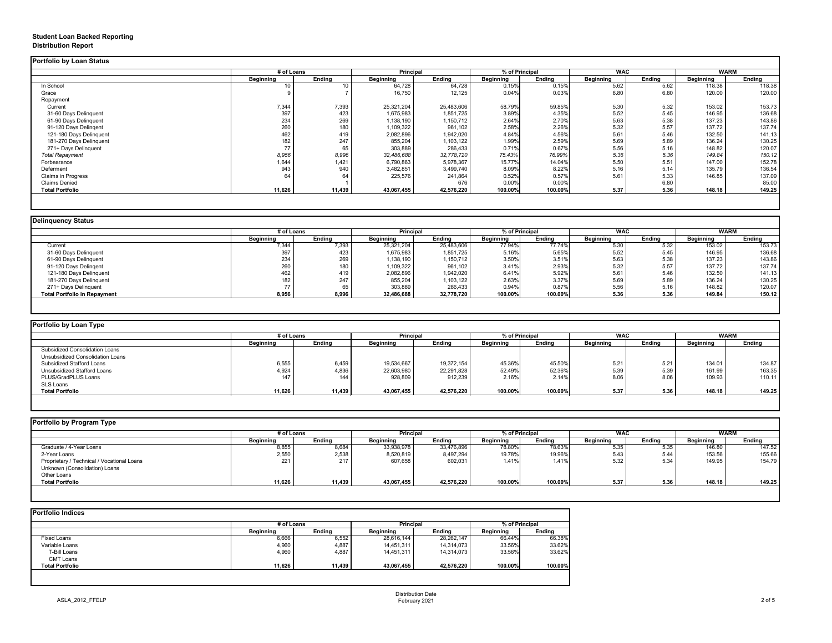### **Student Loan Backed Reporting Distribution Report**

|                           | # of Loans       |               | <b>Principal</b> |               | % of Principal   |               | <b>WAC</b>       |               | <b>WARM</b>      |               |
|---------------------------|------------------|---------------|------------------|---------------|------------------|---------------|------------------|---------------|------------------|---------------|
|                           | <b>Beginning</b> | <b>Ending</b> | <b>Beginning</b> | <b>Ending</b> | <b>Beginning</b> | <b>Ending</b> | <b>Beginning</b> | <b>Ending</b> | <b>Beginning</b> | <b>Ending</b> |
| In School                 | 10               |               | 64,728           | 64,728        | 0.15%            | 0.15%         | 5.62             | 5.62          | 118.38           | 118.38        |
| Grace                     |                  |               | 16,750           | 12,125        | 0.04%            | 0.03%         | 6.80             | 6.80          | 120.00           | 120.00        |
| Repayment                 |                  |               |                  |               |                  |               |                  |               |                  |               |
| Current                   | 7,344            | 7,393         | 25,321,204       | 25,483,606    | 58.79%           | 59.85%        | 5.30             | 5.32          | 153.02           | 153.73        |
| 31-60 Days Delinquent     | 397              | 423           | 1,675,983        | 1,851,725     | 3.89%            | 4.35%         | 5.52             | 5.45          | 146.95           | 136.68        |
| 61-90 Days Delinquent     | 234              | 269           | 1,138,190        | 1,150,712     | 2.64%            | 2.70%         | 5.63             | 5.38          | 137.23           | 143.86        |
| 91-120 Days Delingent     | 260              | 180           | 1,109,322        | 961,102       | 2.58%            | 2.26%         | 5.32             | 5.57          | 137.72           | 137.74        |
| 121-180 Days Delinquent   | 462              | 419           | 2,082,896        | 1,942,020     | 4.84%            | 4.56%         | 5.61             | 5.46          | 132.50           | 141.13        |
| 181-270 Days Delinquent   | 182              | 247           | 855,204          | 1,103,122     | 1.99%            | 2.59%         | 5.69             | 5.89          | 136.24           | 130.25        |
| 271+ Days Delinquent      | 77               | 65            | 303,889          | 286,433       | 0.71%            | 0.67%         | 5.56             | 5.16          | 148.82           | 120.07        |
| <b>Total Repayment</b>    | 8,956            | 8,996         | 32,486,688       | 32,778,720    | 75.43%           | 76.99%        | 5.36             | 5.36          | 149.84           | 150.12        |
| Forbearance               | 1,644            | 1,421         | 6,790,863        | 5,978,367     | 15.77%           | 14.04%        | 5.50             | 5.51          | 147.00           | 152.78        |
| Deferment                 | 943              | 940           | 3,482,851        | 3,499,740     | 8.09%            | 8.22%         | 5.16             | 5.14          | 135.79           | 136.54        |
| <b>Claims in Progress</b> | 64               | 64            | 225,576          | 241,864       | 0.52%            | 0.57%         | 5.61             | 5.33          | 146.85           | 137.09        |
| <b>Claims Denied</b>      |                  |               |                  | 676           | 0.00%            | 0.00%         |                  | 6.80          |                  | 85.00         |
| <b>Total Portfolio</b>    | 11,626           | 11,439        | 43,067,455       | 42,576,220    | 100.00%          | 100.00%       | 5.37             | 5.36          | 148.18           | 149.25        |

|                                     |                  | # of Loans    |                  | <b>Principal</b> | % of Principal   | <b>WAC</b>    |                  | <b>WARM</b>   |                  |        |
|-------------------------------------|------------------|---------------|------------------|------------------|------------------|---------------|------------------|---------------|------------------|--------|
|                                     | <b>Beginning</b> | <b>Ending</b> | <b>Beginning</b> | <b>Ending</b>    | <b>Beginning</b> | <b>Ending</b> | <b>Beginning</b> | <b>Ending</b> | <b>Beginning</b> | Ending |
| Current                             | 7,344            | 7,393         | 25,321,204       | 25,483,606       | 77.94%           | 77.74%        | 5.30             | 5.32          | 153.02           | 153.73 |
| 31-60 Days Delinquent               | 397              | 423           | 1,675,983        | 1,851,725        | 5.16%            | 5.65%         | 5.52             | 5.45          | 146.95           | 136.68 |
| 61-90 Days Delinquent               | 234              | 269           | 1,138,190        | 1,150,712        | 3.50%            | 3.51%         | 5.63             | 5.38          | 137.23           | 143.86 |
| 91-120 Days Delinqent               | 260              | 180           | 1,109,322        | 961,102          | 3.41%            | 2.93%         | 5.32             | 5.57          | 137.72           | 137.74 |
| 121-180 Days Delinquent             | 462              | 419           | 2,082,896        | 1,942,020        | 6.41%            | 5.92%         | 5.61             | 5.46          | 132.50           | 141.13 |
| 181-270 Days Delinquent             | 182              | 247           | 855,204          | 1,103,122        | 2.63%            | 3.37%         | 5.69             | 5.89          | 136.24           | 130.25 |
| 271+ Days Delinquent                |                  | 65            | 303,889          | 286,433          | 0.94%            | 0.87%         | 5.56             | 5.16          | 148.82           | 120.07 |
| <b>Total Portfolio in Repayment</b> | 8,956            | 8,996         | 32,486,688       | 32,778,720       | 100.00%          | 100.00%       | 5.36             | 5.36          | 149.84           | 150.12 |

| # of Loans       |               |                  |               |                  |               | <b>WAC</b>       |               | <b>WARM</b>      |               |
|------------------|---------------|------------------|---------------|------------------|---------------|------------------|---------------|------------------|---------------|
| <b>Beginning</b> | <b>Ending</b> | <b>Beginning</b> | <b>Ending</b> | <b>Beginning</b> | <b>Ending</b> | <b>Beginning</b> | <b>Ending</b> | <b>Beginning</b> | <b>Ending</b> |
|                  |               |                  |               |                  |               |                  |               |                  |               |
|                  |               |                  |               |                  |               |                  |               |                  |               |
| 6,555            | 6,459         | 19,534,667       | 19,372,154    | 45.36%           | 45.50%        | 5.21             | 5.21          | 134.01           | 134.87        |
| 4,924            | 4,836         | 22,603,980       | 22,291,828    | 52.49%           | 52.36%        | 5.39             | 5.39          | 161.99           | 163.35        |
| 147              | 144           | 928,809          | 912,239       | 2.16%            | 2.14%         | 8.06             | 8.06          | 109.93           | 110.11        |
|                  |               |                  |               |                  |               |                  |               |                  |               |
| 11,626           | 11,439        | 43,067,455       | 42,576,220    | 100.00%          | 100.00%       | 5.37             | 5.36          | 148.18           | 149.25        |
|                  |               |                  |               | <b>Principal</b> |               | % of Principal   |               |                  |               |

|  |  | Portfolio by Program Type |  |
|--|--|---------------------------|--|
|--|--|---------------------------|--|

| <b>Portfolio by Program Type</b>           |                  |               |                  |                  |                  |                |                  |               |                  |               |
|--------------------------------------------|------------------|---------------|------------------|------------------|------------------|----------------|------------------|---------------|------------------|---------------|
|                                            |                  | # of Loans    |                  | <b>Principal</b> |                  | % of Principal |                  | <b>WAC</b>    | <b>WARM</b>      |               |
|                                            | <b>Beginning</b> | <b>Ending</b> | <b>Beginning</b> | <b>Ending</b>    | <b>Beginning</b> | <b>Ending</b>  | <b>Beginning</b> | <b>Ending</b> | <b>Beginning</b> | <b>Ending</b> |
| Graduate / 4-Year Loans                    | 8,855            | 8,684         | 33,938,978       | 33,476,896       | 78.80%           | 78.63%         | 5.35             | 5.35          | 146.80           | 147.52        |
| 2-Year Loans                               | 2,550            | 2,538         | 8,520,819        | 8,497,294        | 19.78%           | 19.96%         | 5.43             | 5.44          | 153.56           | 155.66        |
| Proprietary / Technical / Vocational Loans | 221              | 217           | 607,658          | 602,031          | 1.41%            | 1.41%          | 5.32             | 5.34          | 149.95           | 154.79        |
| Unknown (Consolidation) Loans              |                  |               |                  |                  |                  |                |                  |               |                  |               |
| Other Loans                                |                  |               |                  |                  |                  |                |                  |               |                  |               |
| <b>Total Portfolio</b>                     | 11,626           | 11,439        | 43,067,455       | 42,576,220       | 100.00%          | 100.00%        | 5.37             | 5.36          | 148.18           | 149.25        |
|                                            |                  |               |                  |                  |                  |                |                  |               |                  |               |

|                        |                  | # of Loans    |                  | <b>Principal</b> |                  | % of Principal |  |
|------------------------|------------------|---------------|------------------|------------------|------------------|----------------|--|
|                        | <b>Beginning</b> | <b>Ending</b> | <b>Beginning</b> | <b>Ending</b>    | <b>Beginning</b> | <b>Ending</b>  |  |
| Fixed Loans            | 6,666            | 6,552         | 28,616,144       | 28,262,147       | 66.44%           | 66.38%         |  |
| Variable Loans         | 4,960            | 4,887         | 14,451,311       | 14,314,073       | 33.56%           | 33.62%         |  |
| T-Bill Loans           | 4,960            | 4,887         | 14,451,311       | 14,314,073       | 33.56%           | 33.62%         |  |
| <b>CMT Loans</b>       |                  |               |                  |                  |                  |                |  |
| <b>Total Portfolio</b> | 11,626           | 11,439        | 43,067,455       | 42,576,220       | 100.00%          | 100.00%        |  |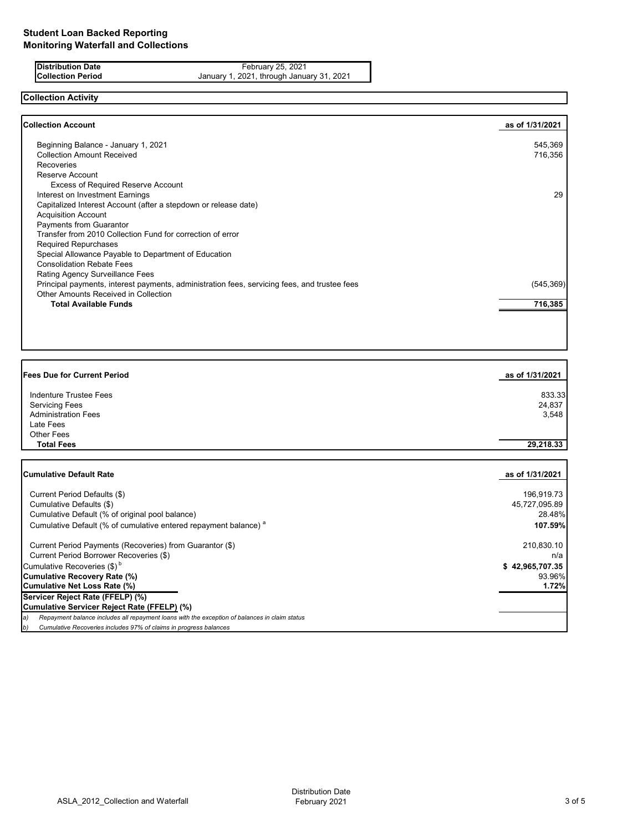| Distribution Date        |  |
|--------------------------|--|
| <b>Collection Period</b> |  |

**Distribution Date Contract Contract Contract Contract Contract Contract Contract Contract Contract Contract Contract Contract Contract Contract Contract Contract Contract Contract Contract Contract Contract Contract Con Collection Period** January 1, 2021, through January 31, 2021

# **Collection Activity**

| <b>Collection Account</b>                                                                    | as of 1/31/2021 |
|----------------------------------------------------------------------------------------------|-----------------|
| Beginning Balance - January 1, 2021                                                          | 545,369         |
| <b>Collection Amount Received</b>                                                            | 716,356         |
| <b>Recoveries</b>                                                                            |                 |
| Reserve Account                                                                              |                 |
| <b>Excess of Required Reserve Account</b>                                                    |                 |
| Interest on Investment Earnings                                                              | 29              |
| Capitalized Interest Account (after a stepdown or release date)                              |                 |
| <b>Acquisition Account</b>                                                                   |                 |
| <b>Payments from Guarantor</b>                                                               |                 |
| Transfer from 2010 Collection Fund for correction of error                                   |                 |
| <b>Required Repurchases</b>                                                                  |                 |
| Special Allowance Payable to Department of Education                                         |                 |
| <b>Consolidation Rebate Fees</b>                                                             |                 |
| Rating Agency Surveillance Fees                                                              |                 |
| Principal payments, interest payments, administration fees, servicing fees, and trustee fees | (545, 369)      |
| Other Amounts Received in Collection                                                         |                 |
| <b>Total Available Funds</b>                                                                 | 716,385         |
|                                                                                              |                 |

| <b>Fees Due for Current Period</b> | as of 1/31/2021 |
|------------------------------------|-----------------|
| Indenture Trustee Fees             | 833.33          |
| <b>Servicing Fees</b>              | 24,837          |
| <b>Administration Fees</b>         | 3,548           |
| Late Fees                          |                 |
| Other Fees                         |                 |
| <b>Total Fees</b>                  | 29,218.33       |

| <b>Cumulative Default Rate</b>                                                                      | as of 1/31/2021 |
|-----------------------------------------------------------------------------------------------------|-----------------|
|                                                                                                     |                 |
| Current Period Defaults (\$)                                                                        | 196,919.73      |
| Cumulative Defaults (\$)                                                                            | 45,727,095.89   |
| Cumulative Default (% of original pool balance)                                                     | 28.48%          |
| Cumulative Default (% of cumulative entered repayment balance) <sup>a</sup>                         | 107.59%         |
| Current Period Payments (Recoveries) from Guarantor (\$)                                            | 210,830.10      |
| Current Period Borrower Recoveries (\$)                                                             | n/a             |
| Cumulative Recoveries $(\$)^b$                                                                      | \$42,965,707.35 |
| Cumulative Recovery Rate (%)                                                                        | 93.96%          |
| Cumulative Net Loss Rate (%)                                                                        | 1.72%           |
| Servicer Reject Rate (FFELP) (%)                                                                    |                 |
| Cumulative Servicer Reject Rate (FFELP) (%)                                                         |                 |
| Repayment balance includes all repayment loans with the exception of balances in claim status<br>a) |                 |
| Cumulative Recoveries includes 97% of claims in progress balances<br>b)                             |                 |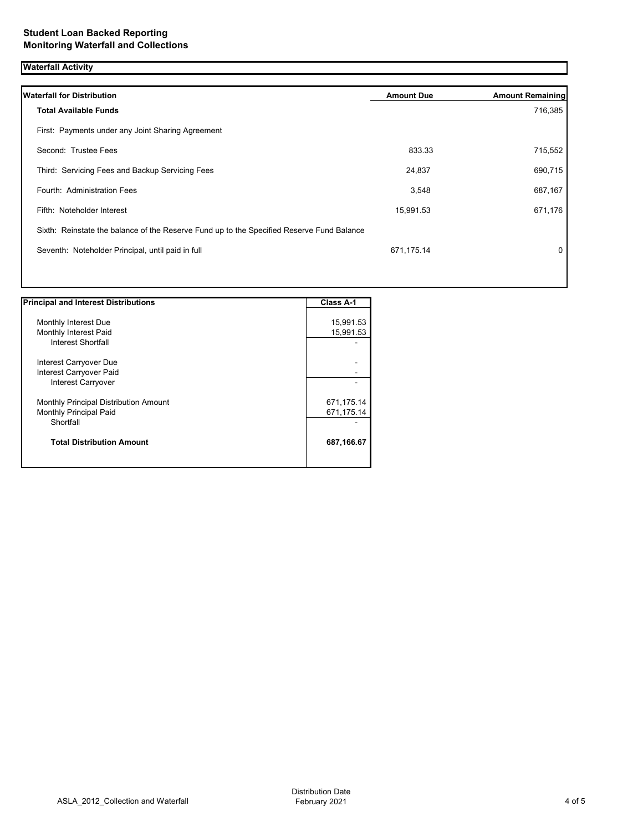## **Waterfall Activity**

| <b>Waterfall for Distribution</b>                                                         | <b>Amount Due</b> | <b>Amount Remaining</b> |
|-------------------------------------------------------------------------------------------|-------------------|-------------------------|
| <b>Total Available Funds</b>                                                              |                   | 716,385                 |
| First: Payments under any Joint Sharing Agreement                                         |                   |                         |
| Second: Trustee Fees                                                                      | 833.33            | 715,552                 |
| Third: Servicing Fees and Backup Servicing Fees                                           | 24,837            | 690,715                 |
| Fourth: Administration Fees                                                               | 3,548             | 687,167                 |
| Fifth: Noteholder Interest                                                                | 15,991.53         | 671,176                 |
| Sixth: Reinstate the balance of the Reserve Fund up to the Specified Reserve Fund Balance |                   |                         |
| Seventh: Noteholder Principal, until paid in full                                         | 671,175.14        | 0                       |
|                                                                                           |                   |                         |

| <b>Principal and Interest Distributions</b>  | <b>Class A-1</b> |
|----------------------------------------------|------------------|
|                                              |                  |
| Monthly Interest Due                         | 15,991.53        |
| Monthly Interest Paid                        | 15,991.53        |
| <b>Interest Shortfall</b>                    |                  |
| Interest Carryover Due                       |                  |
| Interest Carryover Paid                      |                  |
| Interest Carryover                           |                  |
| <b>Monthly Principal Distribution Amount</b> | 671,175.14       |
| <b>Monthly Principal Paid</b>                | 671,175.14       |
| Shortfall                                    |                  |
| <b>Total Distribution Amount</b>             | 687,166.67       |
|                                              |                  |